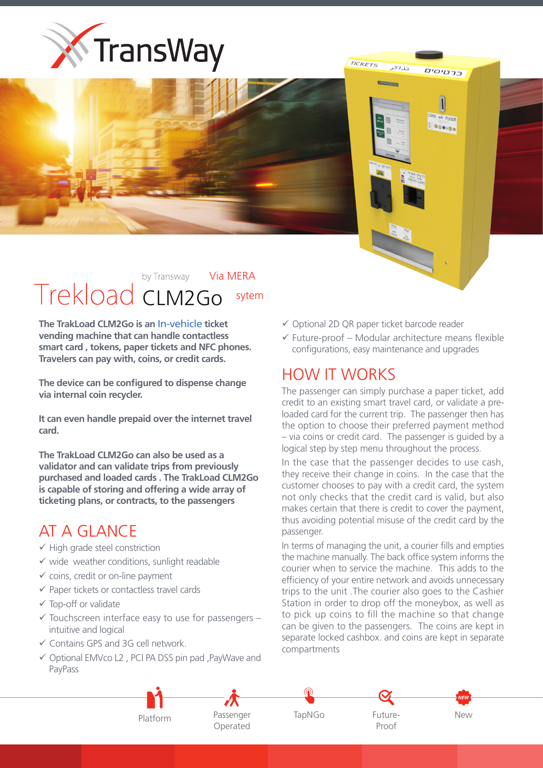



## by Transway **Via MERA** Trekload CLM2Go sytem

**The TrakLoad CLM2Go is an In-vehicle ticket vending machine that can handle contactless** smart card, tokens, paper tickets and NFC phones. Travelers can pay with, coins, or credit cards.

The device can be configured to dispense change via internal coin recycler.

It can even handle prepaid over the internet travel  **.card**

**The TrakLoad CLM2Go can also be used as a** validator and can validate trips from previously purchased and loaded cards . The TrakLoad CLM2Go is capable of storing and offering a wide array of ticketing plans, or contracts, to the passengers

## AT A GLANCE

- $\checkmark$  High grade steel constriction
- $\checkmark$  wide weather conditions, sunlight readable
- $\checkmark$  coins, credit or on-line payment
- $\checkmark$  Paper tickets or contactless travel cards
- $\checkmark$  Top-off or validate
- $\checkmark$  Touchscreen interface easy to use for passengers intuitive and logical
- $\checkmark$  Contains GPS and 3G cell network.
- $\checkmark$  Optional EMVco L2, PCI PA DSS pin pad, PayWave and PayPass

 $\checkmark$  Optional 2D QR paper ticket barcode reader

TICKETS

 $51.17$ 

**Communication** 

כרטיסים

Desego

 $\checkmark$  Future-proof – Modular architecture means flexible configurations, easy maintenance and upgrades

## HOW IT WORKS

The passenger can simply purchase a paper ticket, add loaded card for the current trip. The passenger then has credit to an existing smart travel card, or validate a prethe option to choose their preferred payment method  $-$  via coins or credit card. The passenger is quided by a logical step by step menu throughout the process.

In the case that the passenger decides to use cash, they receive their change in coins. In the case that the customer chooses to pay with a credit card, the system not only checks that the credit card is valid, but also makes certain that there is credit to cover the payment. thus avoiding potential misuse of the credit card by the .passenger

In terms of managing the unit, a courier fills and empties the machine manually. The back office system informs the courier when to service the machine. This adds to the efficiency of your entire network and avoids unnecessary trips to the unit. The courier also goes to the Cashier Station in order to drop off the moneybox, as well as to pick up coins to fill the machine so that change can be given to the passengers. The coins are kept in separate locked cashbox, and coins are kept in separate compartments



 Passenger Operated





New

Future-<br>Proof